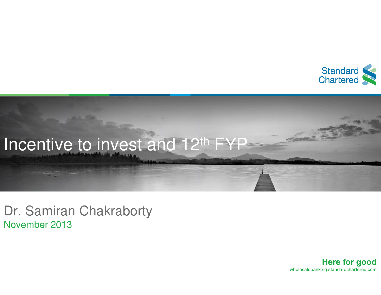



Dr. Samiran ChakrabortyNovember 2013

> **Here for good** wholesalebanking.standardchartered.com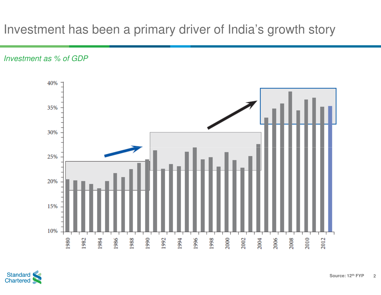## Investment has been a primary driver of India's growth story

Investment as % of GDP



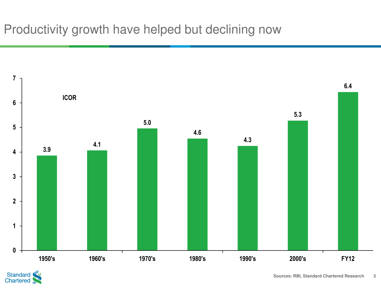

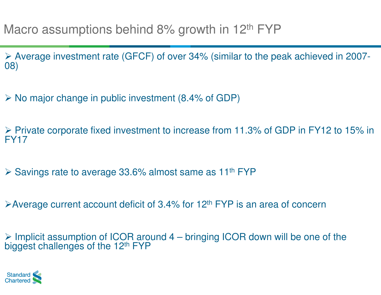Average investment rate (GFCF) of over 34% (similar to the peak achieved in 2007 08) $\mathcal{L}_{\mathcal{A}}$ 

No major change in public investment (8.4% of GDP)

> Private corporate fixed investment to increase from 11.3% of GDP in FY12 to 15% in FY12 FY17

▶ Savings rate to average 33.6% almost same as 11<sup>th</sup> FYP

≻Average current account deficit of 3.4% for 12<sup>th</sup> FYP is an area of concern

> Implicit assumption of ICOR around 4 – bringing ICOR down will be one of the biggest challenges of the 12<sup>th</sup> FYP

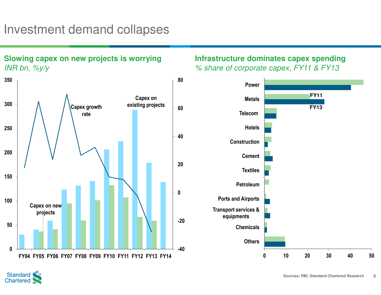### Investment demand collapses

**Slowing capex on new projects is worrying**



#### **Infrastructure dominates capex spending**% share of corporate capex, FY11 & FY13



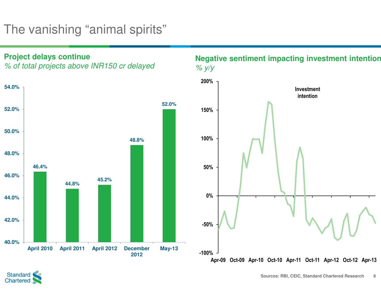# The vanishing "animal spirits"

**Project delays continue**

% of total projects above INR150 cr delayed



#### **Negative sentiment impacting investment intention**  $\%$  y/y



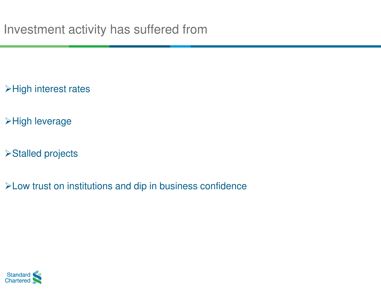>High interest rates

>High leverage

Stalled projects

Low trust on institutions and dip in business confidence

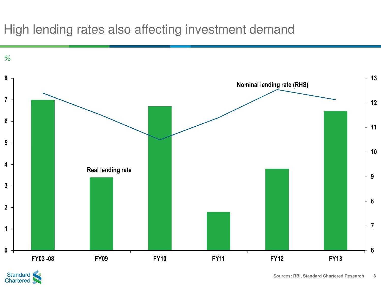## High lending rates also affecting investment demand



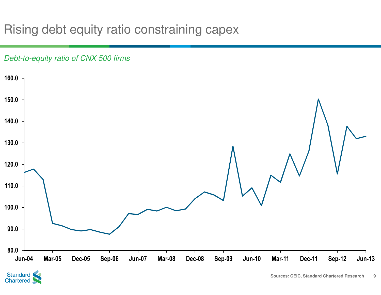## Rising debt equity ratio constraining capex

#### Debt-to-equity ratio of CNX 500 firms



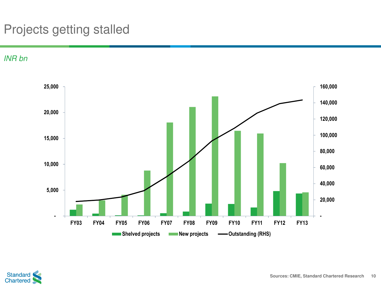# Projects getting stalled

INR bn



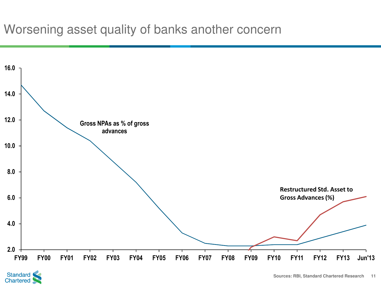### Worsening asset quality of banks another concern



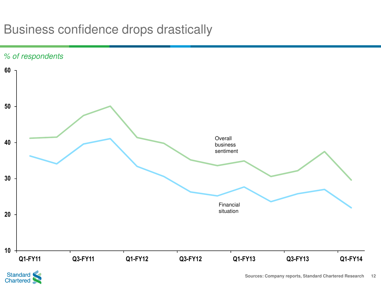## Business confidence drops drastically



Standard<br>Chartered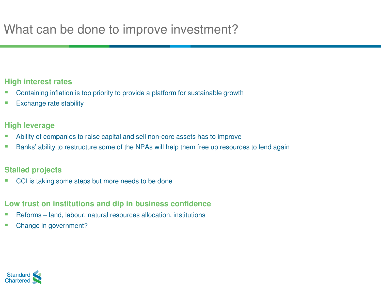#### **High interest rates**

- Containing inflation is top priority to provide a platform for sustainable growth
- -Exchange rate stability

#### **High leverage**

- -**Ability of companies to raise capital and sell non-core assets has to improve**
- -Banks' ability to restructure some of the NPAs will help them free up resources to lend again

#### **Stalled projects**

CCI is taking some steps but more needs to be done

#### **Low trust on institutions and dip in business confidence**

- Reforms land, labour, natural resources allocation, institutions
- Change in government?

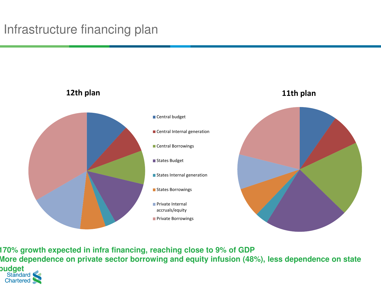

**170% growth expected in infra financing, reaching close to 9% of GDP More dependence on private sector borrowing and equity infusion (48%), less dependence on state budget**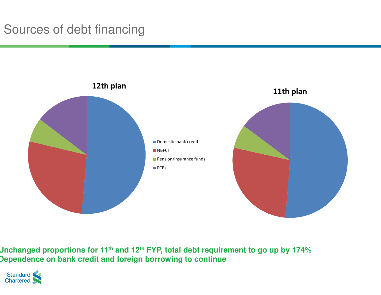## Sources of debt financing



**Unchanged proportions for 11th and 12th FYP, total debt requirement to go up by 174%Dependence on bank credit and foreign borrowing to continue**

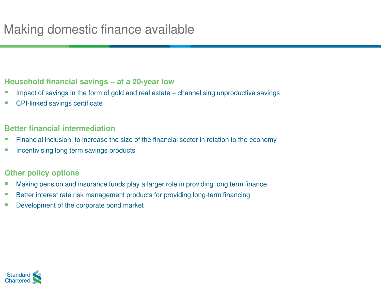### **Household financial savings – at a 20-year low**

- Impact of savings in the form of gold and real estate channelising unproductive savings
- -CPI-linked savings certificate

#### **Better financial intermediation**

- **Financial inclusion to increase the size of the financial sector in relation to the economy** -
- -**Incentivising long term savings products**

### **Other policy options**

- -Making pension and insurance funds play a larger role in providing long term finance
- -**Better interest rate risk management products for providing long-term financing**
- -Development of the corporate bond market

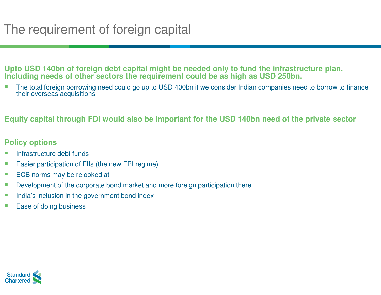**Upto USD 140bn of foreign debt capital might be needed only to fund the infrastructure plan. Including needs of other sectors the requirement could be as high as USD 250bn.**

The total foreign borrowing need could go up to USD 400bn if we consider Indian companies need to borrow to finance<br>their everages asquisitions their overseas acquisitions

#### **Equity capital through FDI would also be important for the USD 140bn need of the private sector**

#### **Policy options**

- Infrastructure debt funds
- -Easier participation of FIIs (the new FPI regime)
- -ECB norms may be relooked at
- -Development of the corporate bond market and more foreign participation there
- -India's inclusion in the government bond index
- -Ease of doing business

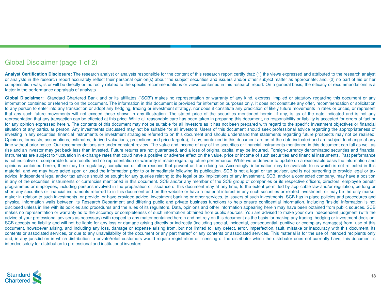#### Global Disclaimer (page <sup>1</sup> of 2)

Analyst Certification Disclosure: The research analyst or analysts responsible for the content of this research report certify that: (1) the views expressed and attributed to the research analyst or analysts in the research report accurately reflect their personal opinion(s) about the subject securities and issuers and/or other subject matter as appropriate; and, (2) no part of his or her compensation was, is or will be directly or indirectly related to the specific recommendations or views contained in this research report. On <sup>a</sup> general basis, the efficacy of recommendations is <sup>a</sup>factor in the performance appraisals of analysts.

Global Disclaimer: Standard Chartered Bank and or its affiliates ("SCB") makes no representation or warranty of any kind, express, implied or statutory regarding this document or any information contained or referred to on the document. The information in this document is provided for information purposes only. It does not constitute any offer, recommendation or solicitation to any person to enter into any transaction or adopt any hedging, trading or investment strategy, nor does it constitute any prediction of likely future movements in rates or prices, or represent that any such future movements will not exceed those shown in any illustration. The stated price of the securities mentioned herein, if any, is as of the date indicated and is not any representation that any transaction can be effected at this price. While all reasonable care has been taken in preparing this document, no responsibility or liability is accepted for errors of fact or for any opinion expressed herein. The contents of this document may not be suitable for all investors as it has not been prepared with regard to the specific investment objectives or financial situation of any particular person. Any investments discussed may not be suitable for all investors. Users of this document should seek professional advice regarding the appropriateness of investing in any securities, financial instruments or investment strategies referred to on this document and should understand that statements regarding future prospects may not be realised. Opinions, forecasts, assumptions, estimates, derived valuations, projections and price target(s), if any, contained in this document are as of the date indicated and are subject to change at any time without prior notice. Our recommendations are under constant review. The value and income of any of the securities or financial instruments mentioned in this document can fall as well as rise and an investor may get back less than invested. Future returns are not guaranteed, and a loss of original capital may be incurred. Foreign-currency denominated securities and financial instruments are subject to fluctuation in exchange rates that could have a positive or adverse effect on the value, price or income of such securities and financial instruments. Past performance is not indicative of comparable future results and no representation or warranty is made regarding future performance. While we endeavour to update on a reasonable basis the information and opinions contained herein, there may be regulatory, compliance or other reasons that prevent us from doing so. Accordingly, information may be available to us which is not reflected in this material, and we may have acted upon or used the information prior to or immediately following its publication. SCB is not <sup>a</sup> legal or tax adviser, and is not purporting to provide legal or tax advice. Independent legal and/or tax advice should be sought for any queries relating to the legal or tax implications of any investment. SCB, and/or a connected company, may have a position in any of the securities, instruments or currencies mentioned in this document. SCB and/or any member of the SCB group of companies or its respective officers, directors, employee benefit programmes or employees, including persons involved in the preparation or issuance of this document may at any time, to the extent permitted by applicable law and/or regulation, be long orshort any securities or financial instruments referred to in this document and on the website or have a material interest in any such securities or related investment, or may be the only market maker in relation to such investments, or provide, or have provided advice, investment banking or other services, to issuers of such investments. SCB has in place policies and procedures and physical information walls between its Research Department and differing public and private business functions to help ensure confidential information, including 'inside' information is not disclosed unless in line with its policies and procedures and the rules of its regulators. Data, opinions and other information appearing herein may have been obtained from public sources. SCBmakes no representation or warranty as to the accuracy or completeness of such information obtained from public sources. You are advised to make your own independent judgment (with the advice of your professional advisers as necessary) with respect to any matter contained herein and not rely on this document as the basis for making any trading, hedging or investment decision. SCB accepts no liability and will not be liable for any loss or damage arising directly or indirectly (including special, incidental, consequential, punitive or exemplary damages) from use of this document, howsoever arising, and including any loss, damage or expense arising from, but not limited to, any defect, error, imperfection, fault, mistake or inaccuracy with this document, its contents or associated services, or due to any unavailability of the document or any part thereof or any contents or associated services. This material is for the use of intended recipients only and, in any jurisdiction in which distribution to private/retail customers would require registration or licensing of the distributor which the distributor does not currently have, this document is intended solely for distribution to professional and institutional investors.